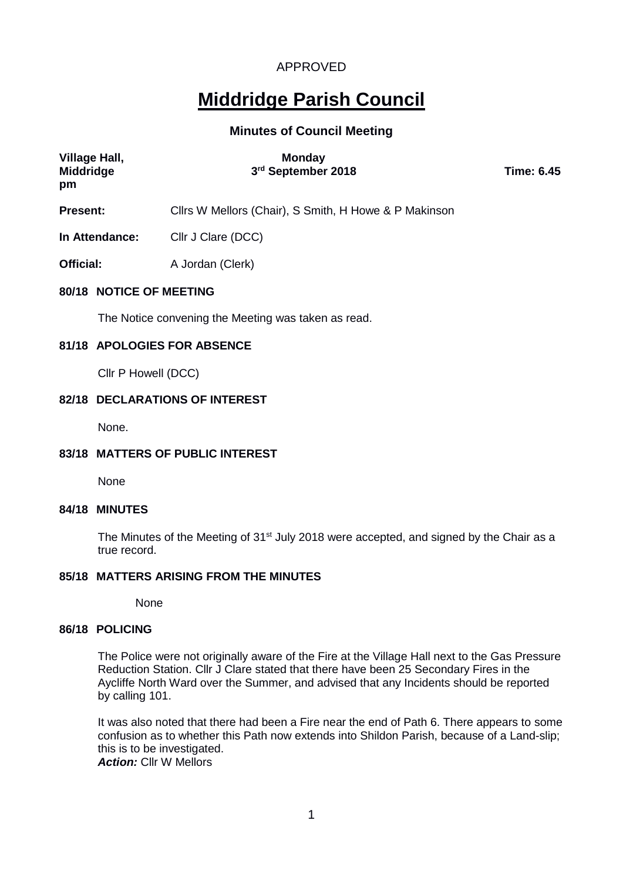# **Middridge Parish Council**

### **Minutes of Council Meeting**

| Village Hall,<br><b>Middridge</b><br>pm | <b>Monday</b><br>3rd September 2018                   | <b>Time: 6.45</b> |  |
|-----------------------------------------|-------------------------------------------------------|-------------------|--|
| <b>Present:</b>                         | Cllrs W Mellors (Chair), S Smith, H Howe & P Makinson |                   |  |
| In Attendance:                          | Cllr J Clare (DCC)                                    |                   |  |
| Official:                               | A Jordan (Clerk)                                      |                   |  |
| 80/18 NOTICE OF MEETING                 |                                                       |                   |  |
|                                         | The Notice convening the Meeting was taken as read.   |                   |  |
|                                         | 81/18 APOLOGIES FOR ABSENCE                           |                   |  |
| Cllr P Howell (DCC)                     |                                                       |                   |  |

#### **82/18 DECLARATIONS OF INTEREST**

None.

### **83/18 MATTERS OF PUBLIC INTEREST**

None

### **84/18 MINUTES**

The Minutes of the Meeting of 31<sup>st</sup> July 2018 were accepted, and signed by the Chair as a true record.

### **85/18 MATTERS ARISING FROM THE MINUTES**

None

### **86/18 POLICING**

The Police were not originally aware of the Fire at the Village Hall next to the Gas Pressure Reduction Station. Cllr J Clare stated that there have been 25 Secondary Fires in the Aycliffe North Ward over the Summer, and advised that any Incidents should be reported by calling 101.

It was also noted that there had been a Fire near the end of Path 6. There appears to some confusion as to whether this Path now extends into Shildon Parish, because of a Land-slip; this is to be investigated. *Action:* Cllr W Mellors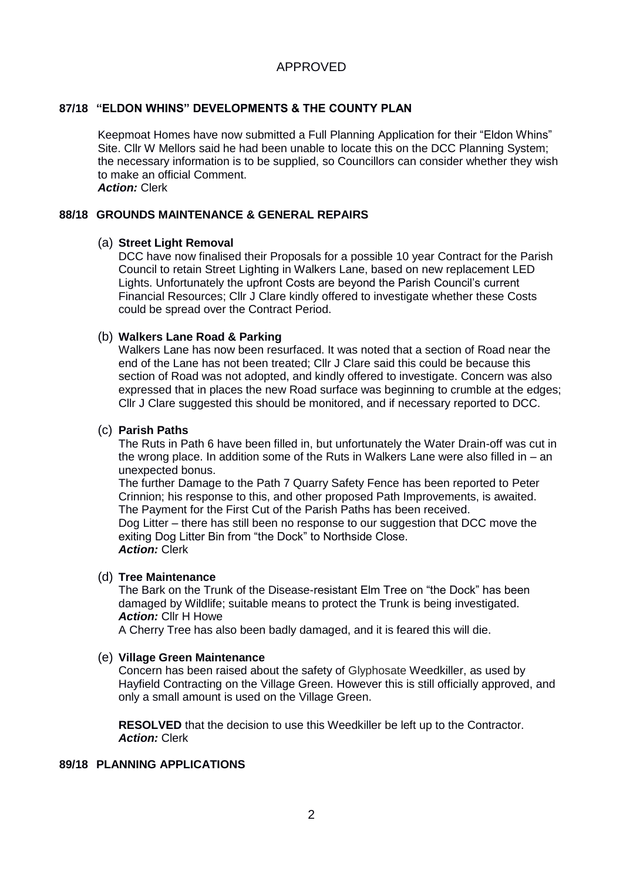### **87/18 "ELDON WHINS" DEVELOPMENTS & THE COUNTY PLAN**

Keepmoat Homes have now submitted a Full Planning Application for their "Eldon Whins" Site. Cllr W Mellors said he had been unable to locate this on the DCC Planning System; the necessary information is to be supplied, so Councillors can consider whether they wish to make an official Comment. *Action:* Clerk

#### **88/18 GROUNDS MAINTENANCE & GENERAL REPAIRS**

#### (a) **Street Light Removal**

DCC have now finalised their Proposals for a possible 10 year Contract for the Parish Council to retain Street Lighting in Walkers Lane, based on new replacement LED Lights. Unfortunately the upfront Costs are beyond the Parish Council's current Financial Resources; Cllr J Clare kindly offered to investigate whether these Costs could be spread over the Contract Period.

#### (b) **Walkers Lane Road & Parking**

Walkers Lane has now been resurfaced. It was noted that a section of Road near the end of the Lane has not been treated; Cllr J Clare said this could be because this section of Road was not adopted, and kindly offered to investigate. Concern was also expressed that in places the new Road surface was beginning to crumble at the edges; Cllr J Clare suggested this should be monitored, and if necessary reported to DCC.

### (c) **Parish Paths**

The Ruts in Path 6 have been filled in, but unfortunately the Water Drain-off was cut in the wrong place. In addition some of the Ruts in Walkers Lane were also filled in – an unexpected bonus.

The further Damage to the Path 7 Quarry Safety Fence has been reported to Peter Crinnion; his response to this, and other proposed Path Improvements, is awaited. The Payment for the First Cut of the Parish Paths has been received.

Dog Litter – there has still been no response to our suggestion that DCC move the exiting Dog Litter Bin from "the Dock" to Northside Close. *Action:* Clerk

#### (d) **Tree Maintenance**

The Bark on the Trunk of the Disease-resistant Elm Tree on "the Dock" has been damaged by Wildlife; suitable means to protect the Trunk is being investigated. *Action:* Cllr H Howe

A Cherry Tree has also been badly damaged, and it is feared this will die.

#### (e) **Village Green Maintenance**

Concern has been raised about the safety of Glyphosate Weedkiller, as used by Hayfield Contracting on the Village Green. However this is still officially approved, and only a small amount is used on the Village Green.

**RESOLVED** that the decision to use this Weedkiller be left up to the Contractor. *Action:* Clerk

#### **89/18 PLANNING APPLICATIONS**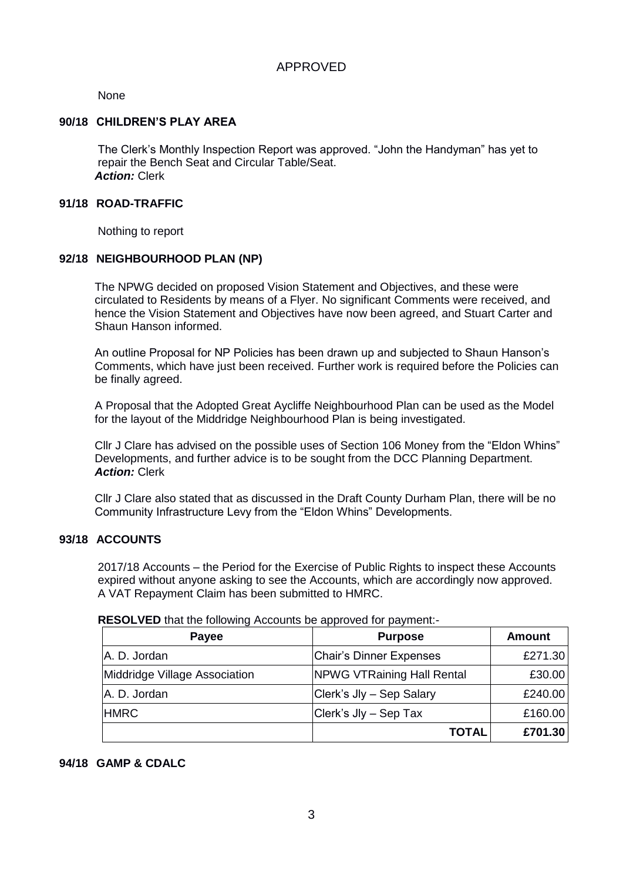None

### **90/18 CHILDREN'S PLAY AREA**

The Clerk's Monthly Inspection Report was approved. "John the Handyman" has yet to repair the Bench Seat and Circular Table/Seat. *Action:* Clerk

### **91/18 ROAD-TRAFFIC**

Nothing to report

### **92/18 NEIGHBOURHOOD PLAN (NP)**

The NPWG decided on proposed Vision Statement and Objectives, and these were circulated to Residents by means of a Flyer. No significant Comments were received, and hence the Vision Statement and Objectives have now been agreed, and Stuart Carter and Shaun Hanson informed.

An outline Proposal for NP Policies has been drawn up and subjected to Shaun Hanson's Comments, which have just been received. Further work is required before the Policies can be finally agreed.

A Proposal that the Adopted Great Aycliffe Neighbourhood Plan can be used as the Model for the layout of the Middridge Neighbourhood Plan is being investigated.

Cllr J Clare has advised on the possible uses of Section 106 Money from the "Eldon Whins" Developments, and further advice is to be sought from the DCC Planning Department. *Action:* Clerk

Cllr J Clare also stated that as discussed in the Draft County Durham Plan, there will be no Community Infrastructure Levy from the "Eldon Whins" Developments.

### **93/18 ACCOUNTS**

2017/18 Accounts – the Period for the Exercise of Public Rights to inspect these Accounts expired without anyone asking to see the Accounts, which are accordingly now approved. A VAT Repayment Claim has been submitted to HMRC.

| RESOLVED that the following Accounts be approved for payment:- |  |  |
|----------------------------------------------------------------|--|--|
|----------------------------------------------------------------|--|--|

| Payee                         | <b>Purpose</b>                    | <b>Amount</b> |
|-------------------------------|-----------------------------------|---------------|
| A. D. Jordan                  | <b>Chair's Dinner Expenses</b>    | £271.30       |
| Middridge Village Association | <b>NPWG VTRaining Hall Rental</b> | £30.00        |
| A. D. Jordan                  | Clerk's Jly - Sep Salary          | £240.00       |
| <b>HMRC</b>                   | Clerk's Jly - Sep Tax             | £160.00       |
|                               | <b>TOTAL</b>                      | £701.30       |

### **94/18 GAMP & CDALC**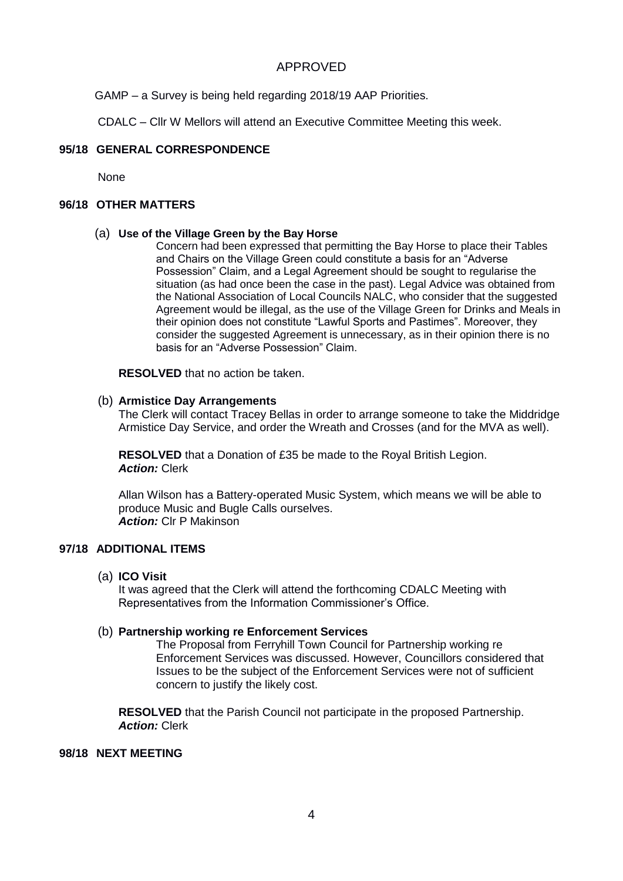GAMP – a Survey is being held regarding 2018/19 AAP Priorities.

CDALC – Cllr W Mellors will attend an Executive Committee Meeting this week.

### **95/18 GENERAL CORRESPONDENCE**

**None** 

### **96/18 OTHER MATTERS**

### (a) **Use of the Village Green by the Bay Horse**

Concern had been expressed that permitting the Bay Horse to place their Tables and Chairs on the Village Green could constitute a basis for an "Adverse Possession" Claim, and a Legal Agreement should be sought to regularise the situation (as had once been the case in the past). Legal Advice was obtained from the National Association of Local Councils NALC, who consider that the suggested Agreement would be illegal, as the use of the Village Green for Drinks and Meals in their opinion does not constitute "Lawful Sports and Pastimes". Moreover, they consider the suggested Agreement is unnecessary, as in their opinion there is no basis for an "Adverse Possession" Claim.

**RESOLVED** that no action be taken.

### (b) **Armistice Day Arrangements**

The Clerk will contact Tracey Bellas in order to arrange someone to take the Middridge Armistice Day Service, and order the Wreath and Crosses (and for the MVA as well).

**RESOLVED** that a Donation of £35 be made to the Royal British Legion. *Action:* Clerk

Allan Wilson has a Battery-operated Music System, which means we will be able to produce Music and Bugle Calls ourselves. *Action:* Clr P Makinson

### **97/18 ADDITIONAL ITEMS**

(a) **ICO Visit**

It was agreed that the Clerk will attend the forthcoming CDALC Meeting with Representatives from the Information Commissioner's Office.

### (b) **Partnership working re Enforcement Services**

The Proposal from Ferryhill Town Council for Partnership working re Enforcement Services was discussed. However, Councillors considered that Issues to be the subject of the Enforcement Services were not of sufficient concern to justify the likely cost.

**RESOLVED** that the Parish Council not participate in the proposed Partnership. *Action:* Clerk

### **98/18 NEXT MEETING**